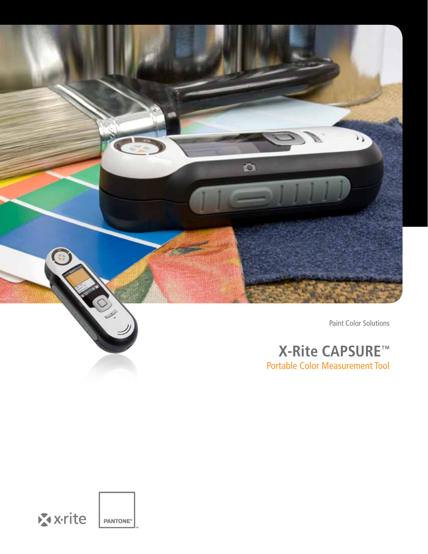

# **X-Rite CAPSURE™** Portable Color Measurement Tool

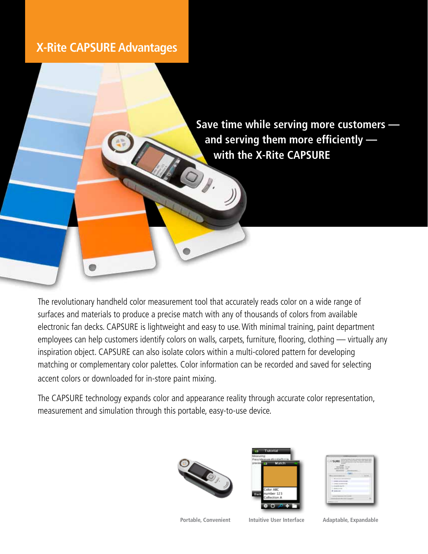## **X-Rite CAPSURE Advantages**

**Save time while serving more customers and serving them more efficiently with the X-Rite CAPSURE**

The revolutionary handheld color measurement tool that accurately reads color on a wide range of surfaces and materials to produce a precise match with any of thousands of colors from available electronic fan decks. CAPSURE is lightweight and easy to use. With minimal training, paint department employees can help customers identify colors on walls, carpets, furniture, flooring, clothing — virtually any inspiration object. CAPSURE can also isolate colors within a multi-colored pattern for developing matching or complementary color palettes. Color information can be recorded and saved for selecting accent colors or downloaded for in-store paint mixing.

The CAPSURE technology expands color and appearance reality through accurate color representation, measurement and simulation through this portable, easy-to-use device.





| ×  |  |
|----|--|
|    |  |
|    |  |
|    |  |
|    |  |
|    |  |
| Y. |  |
|    |  |
|    |  |
|    |  |
|    |  |

**Portable, Convenient Intuitive User Interface Adaptable, Expandable**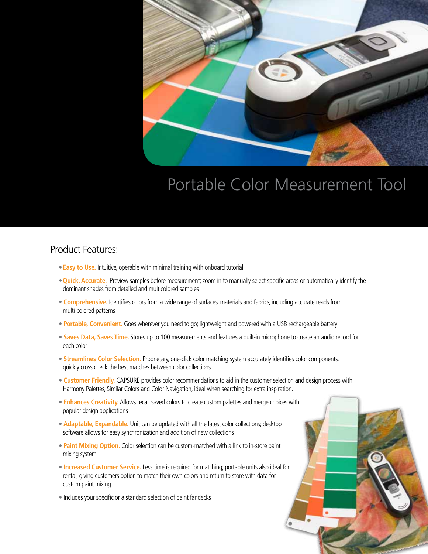

# Portable Color Measurement Tool

### Product Features:

- •**Easy to Use.** Intuitive, operable with minimal training with onboard tutorial
- •**Quick, Accurate.** Preview samples before measurement; zoom in to manually select specific areas or automatically identify the dominant shades from detailed and multicolored samples
- **Comprehensive.** Identifies colors from a wide range of surfaces, materials and fabrics, including accurate reads from multi-colored patterns
- **Portable, Convenient.** Goes wherever you need to go; lightweight and powered with a USB rechargeable battery
- **Saves Data, Saves Time.** Stores up to 100 measurements and features a built-in microphone to create an audio record for each color
- **Streamlines Color Selection.** Proprietary, one-click color matching system accurately identifies color components, quickly cross check the best matches between color collections
- **Customer Friendly.** CAPSURE provides color recommendations to aid in the customer selection and design process with Harmony Palettes, Similar Colors and Color Navigation, ideal when searching for extra inspiration.
- **Enhances Creativity.** Allows recall saved colors to create custom palettes and merge choices with popular design applications
- **Adaptable, Expandable.** Unit can be updated with all the latest color collections; desktop software allows for easy synchronization and addition of new collections
- **Paint Mixing Option.** Color selection can be custom-matched with a link to in-store paint mixing system
- **Increased Customer Service.** Less time is required for matching; portable units also ideal for rental, giving customers option to match their own colors and return to store with data for custom paint mixing
- Includes your specific or a standard selection of paint fandecks